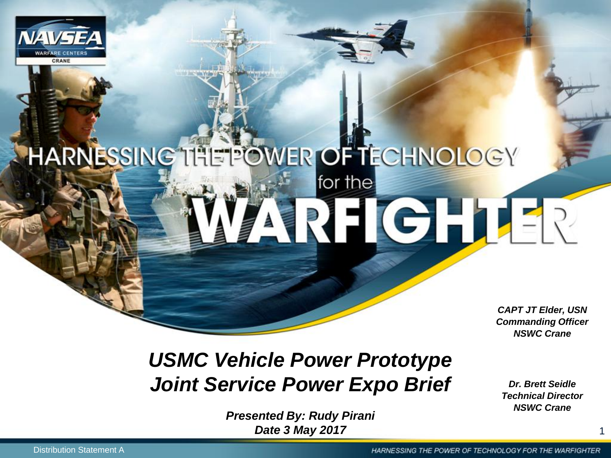

# HARNESSING THE POWER OF TECHNOLOGY for the RHGHLER

*CAPT JT Elder, USN Commanding Officer NSWC Crane*

#### *USMC Vehicle Power Prototype Joint Service Power Expo Brief*

*Dr. Brett Seidle Technical Director NSWC Crane*

*Presented By: Rudy Pirani* **Date 3 May 2017**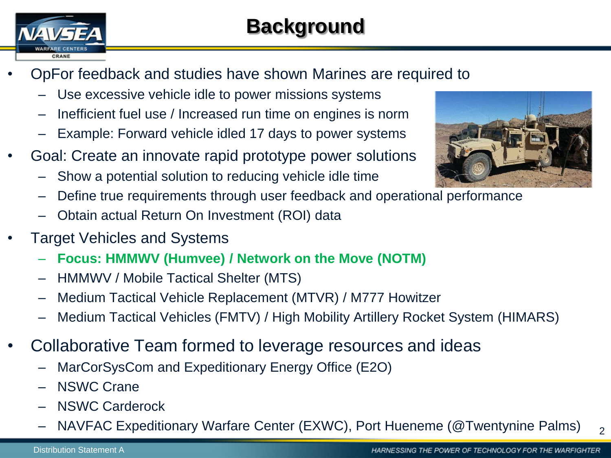

- OpFor feedback and studies have shown Marines are required to
	- Use excessive vehicle idle to power missions systems
	- Inefficient fuel use / Increased run time on engines is norm
	- Example: Forward vehicle idled 17 days to power systems
- Goal: Create an innovate rapid prototype power solutions
	- Show a potential solution to reducing vehicle idle time
	- Define true requirements through user feedback and operational performance
	- Obtain actual Return On Investment (ROI) data
- Target Vehicles and Systems
	- **Focus: HMMWV (Humvee) / Network on the Move (NOTM)**
	- HMMWV / Mobile Tactical Shelter (MTS)
	- Medium Tactical Vehicle Replacement (MTVR) / M777 Howitzer
	- Medium Tactical Vehicles (FMTV) / High Mobility Artillery Rocket System (HIMARS)
- Collaborative Team formed to leverage resources and ideas
	- MarCorSysCom and Expeditionary Energy Office (E2O)
	- NSWC Crane
	- NSWC Carderock
	- NAVFAC Expeditionary Warfare Center (EXWC), Port Hueneme (@Twentynine Palms)



 $\overline{2}$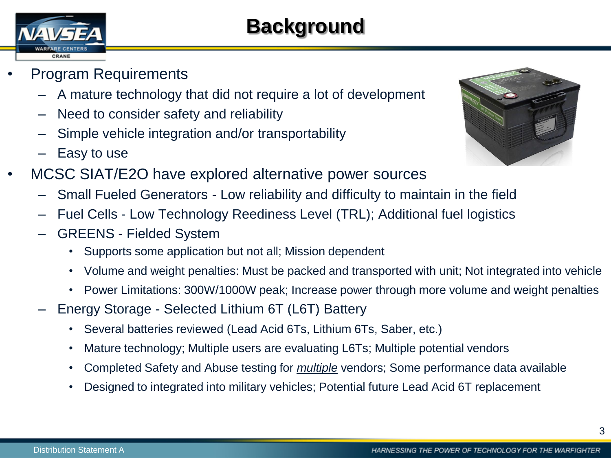### **Background**

- CRANE
- Program Requirements
	- A mature technology that did not require a lot of development
	- Need to consider safety and reliability
	- Simple vehicle integration and/or transportability
	- Easy to use
- MCSC SIAT/E2O have explored alternative power sources
	- Small Fueled Generators Low reliability and difficulty to maintain in the field
	- Fuel Cells Low Technology Reediness Level (TRL); Additional fuel logistics
	- GREENS Fielded System
		- Supports some application but not all; Mission dependent
		- Volume and weight penalties: Must be packed and transported with unit; Not integrated into vehicle
		- Power Limitations: 300W/1000W peak; Increase power through more volume and weight penalties
	- Energy Storage Selected Lithium 6T (L6T) Battery
		- Several batteries reviewed (Lead Acid 6Ts, Lithium 6Ts, Saber, etc.)
		- Mature technology; Multiple users are evaluating L6Ts; Multiple potential vendors
		- Completed Safety and Abuse testing for *multiple* vendors; Some performance data available
		- Designed to integrated into military vehicles; Potential future Lead Acid 6T replacement

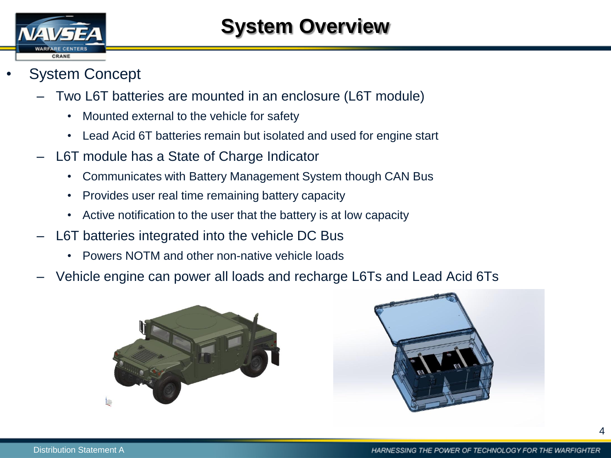

- System Concept
	- Two L6T batteries are mounted in an enclosure (L6T module)
		- Mounted external to the vehicle for safety
		- Lead Acid 6T batteries remain but isolated and used for engine start
	- L6T module has a State of Charge Indicator
		- Communicates with Battery Management System though CAN Bus
		- Provides user real time remaining battery capacity
		- Active notification to the user that the battery is at low capacity
	- L6T batteries integrated into the vehicle DC Bus
		- Powers NOTM and other non-native vehicle loads
	- Vehicle engine can power all loads and recharge L6Ts and Lead Acid 6Ts



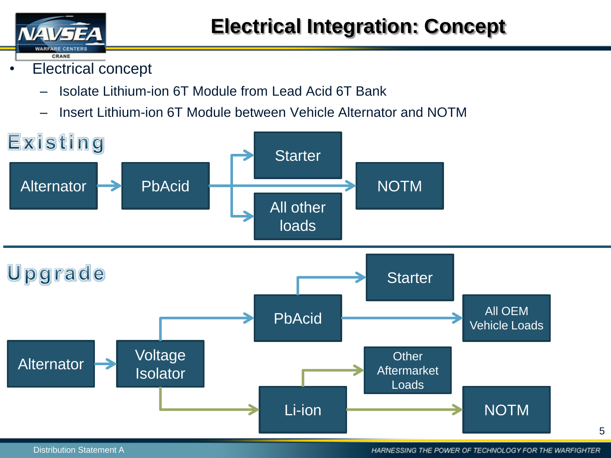

- Electrical concept
	- Isolate Lithium-ion 6T Module from Lead Acid 6T Bank
	- Insert Lithium-ion 6T Module between Vehicle Alternator and NOTM

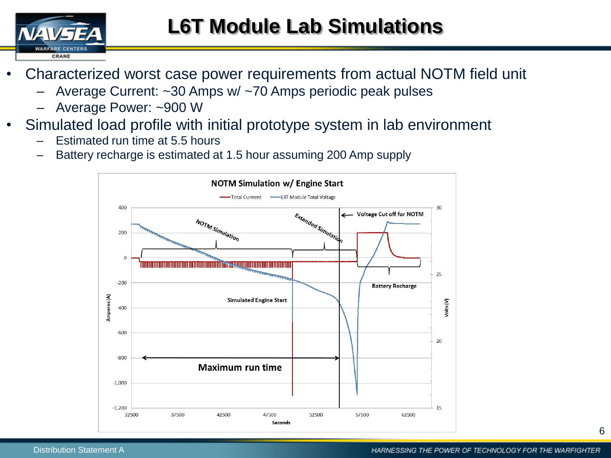

### **L6T Module Lab Simulations**

- Characterized worst case power requirements from actual NOTM field unit
	- Average Current: ~30 Amps w/ ~70 Amps periodic peak pulses
	- Average Power: ~900 W
- Simulated load profile with initial prototype system in lab environment
	- Estimated run time at 5.5 hours
	- Battery recharge is estimated at 1.5 hour assuming 200 Amp supply

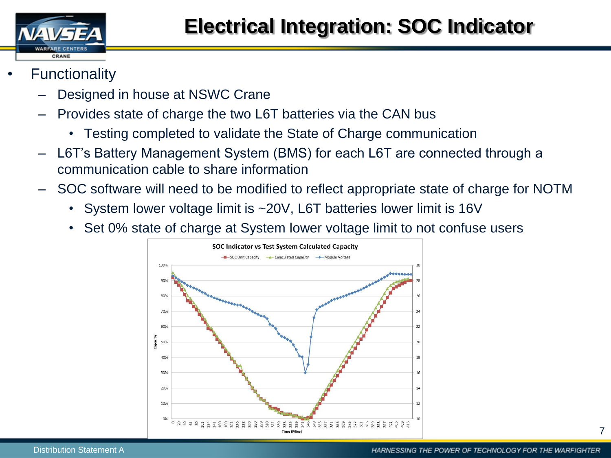

- **Functionality** 
	- Designed in house at NSWC Crane
	- Provides state of charge the two L6T batteries via the CAN bus
		- Testing completed to validate the State of Charge communication
	- L6T's Battery Management System (BMS) for each L6T are connected through a communication cable to share information
	- SOC software will need to be modified to reflect appropriate state of charge for NOTM
		- System lower voltage limit is ~20V, L6T batteries lower limit is 16V
		- Set 0% state of charge at System lower voltage limit to not confuse users

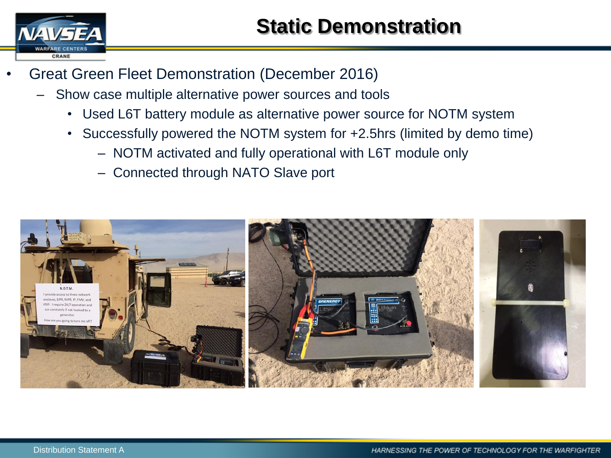

- Great Green Fleet Demonstration (December 2016)
	- Show case multiple alternative power sources and tools
		- Used L6T battery module as alternative power source for NOTM system
		- Successfully powered the NOTM system for +2.5hrs (limited by demo time)
			- NOTM activated and fully operational with L6T module only
			- Connected through NATO Slave port

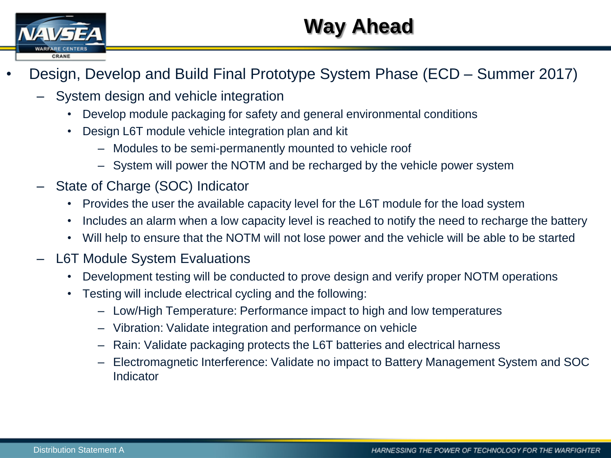

## **Way Ahead**

- Design, Develop and Build Final Prototype System Phase (ECD Summer 2017)
	- System design and vehicle integration
		- Develop module packaging for safety and general environmental conditions
		- Design L6T module vehicle integration plan and kit
			- Modules to be semi-permanently mounted to vehicle roof
			- System will power the NOTM and be recharged by the vehicle power system
	- State of Charge (SOC) Indicator
		- Provides the user the available capacity level for the L6T module for the load system
		- Includes an alarm when a low capacity level is reached to notify the need to recharge the battery
		- Will help to ensure that the NOTM will not lose power and the vehicle will be able to be started
	- L6T Module System Evaluations
		- Development testing will be conducted to prove design and verify proper NOTM operations
		- Testing will include electrical cycling and the following:
			- Low/High Temperature: Performance impact to high and low temperatures
			- Vibration: Validate integration and performance on vehicle
			- Rain: Validate packaging protects the L6T batteries and electrical harness
			- Electromagnetic Interference: Validate no impact to Battery Management System and SOC Indicator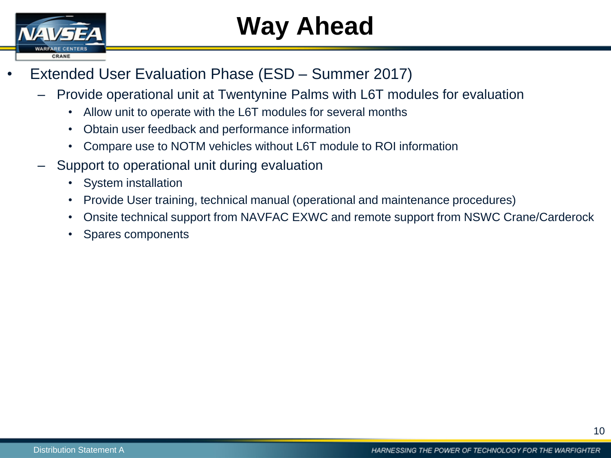

# **Way Ahead**

- Extended User Evaluation Phase (ESD Summer 2017)
	- Provide operational unit at Twentynine Palms with L6T modules for evaluation
		- Allow unit to operate with the L6T modules for several months
		- Obtain user feedback and performance information
		- Compare use to NOTM vehicles without L6T module to ROI information
	- Support to operational unit during evaluation
		- System installation
		- Provide User training, technical manual (operational and maintenance procedures)
		- Onsite technical support from NAVFAC EXWC and remote support from NSWC Crane/Carderock
		- Spares components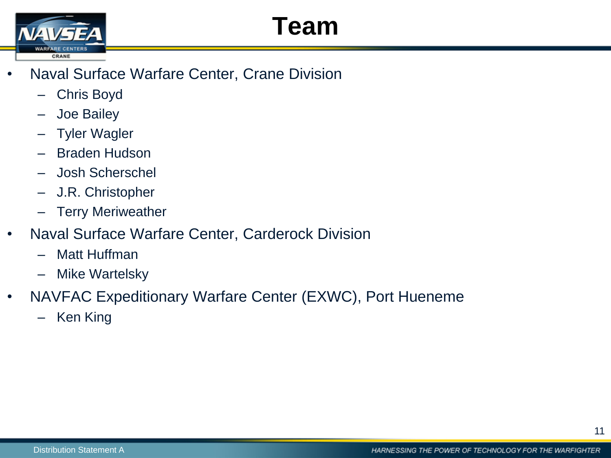# **Team**



- Naval Surface Warfare Center, Crane Division
	- Chris Boyd
	- Joe Bailey
	- **Tyler Wagler**
	- Braden Hudson
	- Josh Scherschel
	- J.R. Christopher
	- **Terry Meriweather**
- Naval Surface Warfare Center, Carderock Division
	- Matt Huffman
	- Mike Wartelsky
- NAVFAC Expeditionary Warfare Center (EXWC), Port Hueneme
	- Ken King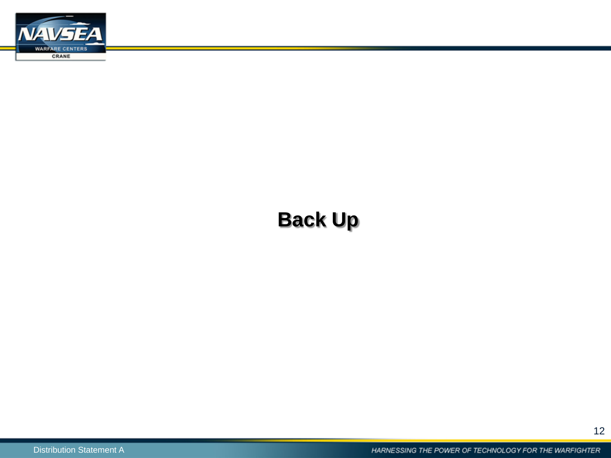

### **Back Up**